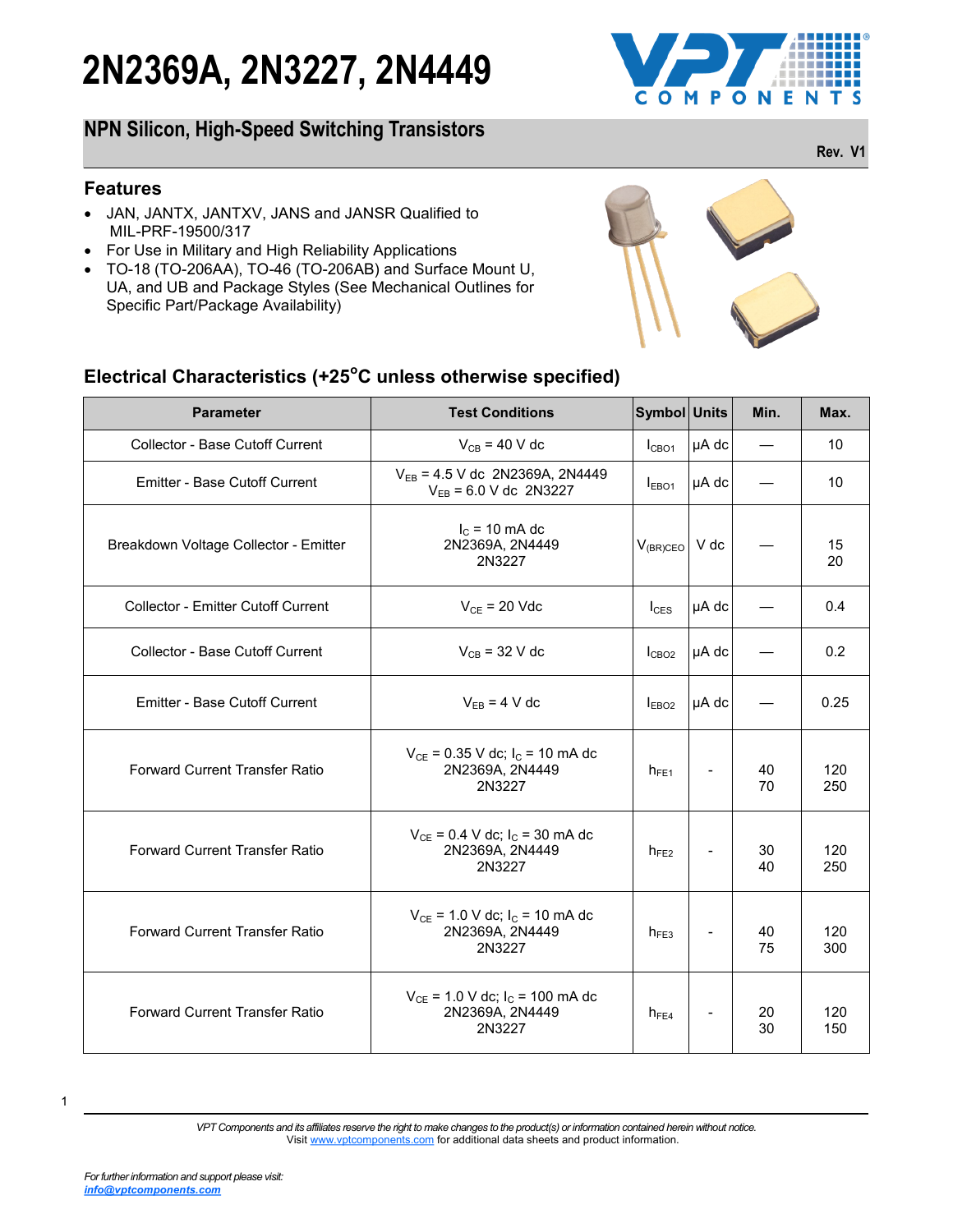### **NPN Silicon, High-Speed Switching Transistors**

### **Features**

- JAN, JANTX, JANTXV, JANS and JANSR Qualified to MIL-PRF-19500/317
- For Use in Military and High Reliability Applications
- TO-18 (TO-206AA), TO-46 (TO-206AB) and Surface Mount U, UA, and UB and Package Styles (See Mechanical Outlines for Specific Part/Package Availability)

### **Electrical Characteristics (+25<sup>o</sup>C unless otherwise specified)**

*VPT Components and its affiliates reserve the right to make changes to the product(s) or information contained herein without notice.*  Visit [www.vptcomponents.com](http://www.vptcomponents.com) for additional data sheets and product information.

| ï<br>×. |  |  |  |
|---------|--|--|--|
|         |  |  |  |

| For Use in Military and High Reliability Applications<br>TO-18 (TO-206AA), TO-46 (TO-206AB) and Surface Mount U,<br>UA, and UB and Package Styles (See Mechanical Outlines for<br>Specific Part/Package Availability) |                                                                              |                    |       |          |            |
|-----------------------------------------------------------------------------------------------------------------------------------------------------------------------------------------------------------------------|------------------------------------------------------------------------------|--------------------|-------|----------|------------|
| Electrical Characteristics (+25°C unless otherwise specified)<br><b>Parameter</b>                                                                                                                                     | <b>Test Conditions</b>                                                       | Symbol Units       |       | Min.     | Max.       |
| Collector - Base Cutoff Current                                                                                                                                                                                       | $V_{CB}$ = 40 V dc                                                           | $I_{CBO1}$         | µA dc |          |            |
| <b>Emitter - Base Cutoff Current</b>                                                                                                                                                                                  | $V_{EB} = 4.5$ V dc 2N2369A, 2N4449<br>$V_{EB} = 6.0$ V dc 2N3227            | I <sub>EBO1</sub>  | µA dc |          |            |
| Breakdown Voltage Collector - Emitter                                                                                                                                                                                 | $I_c = 10$ mA dc<br>2N2369A, 2N4449<br>2N3227                                | $V_{(BR)CEO}$ V dc |       |          |            |
| Collector - Emitter Cutoff Current                                                                                                                                                                                    | $V_{CE}$ = 20 Vdc                                                            | $I_{CES}$          | µA dc |          | 0.4        |
| <b>Collector - Base Cutoff Current</b>                                                                                                                                                                                | $V_{CB}$ = 32 V dc                                                           | I <sub>CBO2</sub>  | µA dc |          | 0.2        |
| <b>Emitter - Base Cutoff Current</b>                                                                                                                                                                                  | $V_{EB} = 4 V dc$                                                            | I <sub>EBO2</sub>  | µA dc |          | 0.25       |
| <b>Forward Current Transfer Ratio</b>                                                                                                                                                                                 | $V_{CE}$ = 0.35 V dc; $I_C$ = 10 mA dc<br>2N2369A, 2N4449<br>2N3227          | $h_{FE1}$          |       | 40<br>70 | 120<br>250 |
| <b>Forward Current Transfer Ratio</b>                                                                                                                                                                                 | $V_{CE}$ = 0.4 V dc; l <sub>c</sub> = 30 mA dc<br>2N2369A, 2N4449<br>2N3227  | $h_{FE2}$          |       | 30<br>40 | 120<br>250 |
| <b>Forward Current Transfer Ratio</b>                                                                                                                                                                                 | $V_{CE}$ = 1.0 V dc; $I_C$ = 10 mA dc<br>2N2369A, 2N4449<br>2N3227           | $h_{FE3}$          |       | 40<br>75 | 120<br>300 |
| <b>Forward Current Transfer Ratio</b>                                                                                                                                                                                 | $V_{CE}$ = 1.0 V dc; l <sub>c</sub> = 100 mA dc<br>2N2369A, 2N4449<br>2N3227 | $h_{FE4}$          |       | 20<br>30 | 120<br>150 |





**Rev. V1**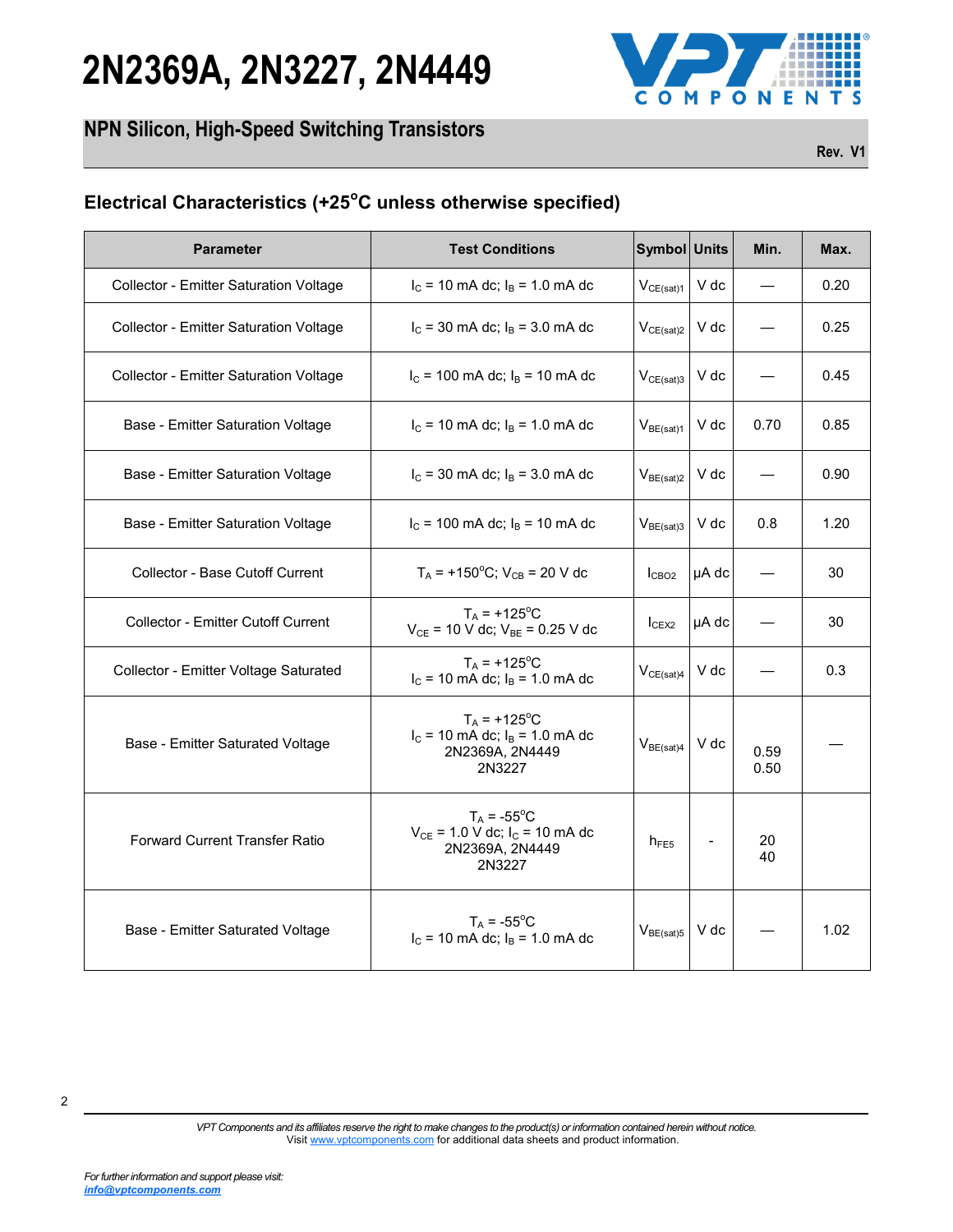

### **NPN Silicon, High-Speed Switching Transistors**

**Rev. V1**

## **Electrical Characteristics (+25<sup>o</sup>C unless otherwise specified)**

| <b>Parameter</b>                          | <b>Test Conditions</b>                                                                      | <b>Symbol Units</b>                       |       | Min.         | Max. |
|-------------------------------------------|---------------------------------------------------------------------------------------------|-------------------------------------------|-------|--------------|------|
| Collector - Emitter Saturation Voltage    | $I_c$ = 10 mA dc; $I_B$ = 1.0 mA dc                                                         | $V_{CE(sat)1}$                            | V dc  |              | 0.20 |
| Collector - Emitter Saturation Voltage    | $I_c$ = 30 mA dc; $I_B$ = 3.0 mA dc                                                         | $V_{CE(sat)2}$                            | V dc  |              | 0.25 |
| Collector - Emitter Saturation Voltage    | $I_C$ = 100 mA dc; $I_B$ = 10 mA dc                                                         | $V_{CE(sat)3}$                            | V dc  |              | 0.45 |
| Base - Emitter Saturation Voltage         | $I_c$ = 10 mA dc; $I_B$ = 1.0 mA dc                                                         | $V_{BE(sat)1}$                            | V dc  | 0.70         | 0.85 |
| Base - Emitter Saturation Voltage         | $I_c$ = 30 mA dc; $I_B$ = 3.0 mA dc                                                         | $V_{BE(sat)2}$                            | V dc  |              | 0.90 |
| Base - Emitter Saturation Voltage         | $I_c$ = 100 mA dc; $I_B$ = 10 mA dc                                                         | $V_{BE(sat)3}$                            | V dc  | 0.8          | 1.20 |
| Collector - Base Cutoff Current           | $T_A$ = +150°C; V <sub>CB</sub> = 20 V dc                                                   | I <sub>CBO2</sub>                         | µA dc |              | 30   |
| <b>Collector - Emitter Cutoff Current</b> | $T_A$ = +125 <sup>o</sup> C<br>$V_{CE}$ = 10 V dc; $V_{BE}$ = 0.25 V dc                     | I <sub>CEX2</sub>                         | µA dc |              | 30   |
| Collector - Emitter Voltage Saturated     | $T_A$ = +125 <sup>°</sup> C<br>$I_C$ = 10 mA dc; $I_B$ = 1.0 mA dc                          | $V_{CE(sat)4}$                            | V dc  |              | 0.3  |
| Base - Emitter Saturated Voltage          | $T_A$ = +125°C<br>$I_c$ = 10 mA dc; $I_B$ = 1.0 mA dc<br>2N2369A, 2N4449<br>2N3227          | $V_{BE(sat)4}$                            | V dc  | 0.59<br>0.50 |      |
| Forward Current Transfer Ratio            | $T_A = -55^{\circ}$ C<br>$V_{CE}$ = 1.0 V dc; $I_C$ = 10 mA dc<br>2N2369A, 2N4449<br>2N3227 | $h_{FE5}$                                 |       | 20<br>40     |      |
| Base - Emitter Saturated Voltage          | $T_A = -55^{\circ}$ C<br>$I_C$ = 10 mA dc; $I_B$ = 1.0 mA dc                                | $\mathsf{V}_{\mathsf{BE}(\mathsf{sat})5}$ | V dc  |              | 1.02 |

*VPT Components and its affiliates reserve the right to make changes to the product(s) or information contained herein without notice.*  Visit [www.vptcomponents.com](http://www.vptcomponents.com) for additional data sheets and product information.

2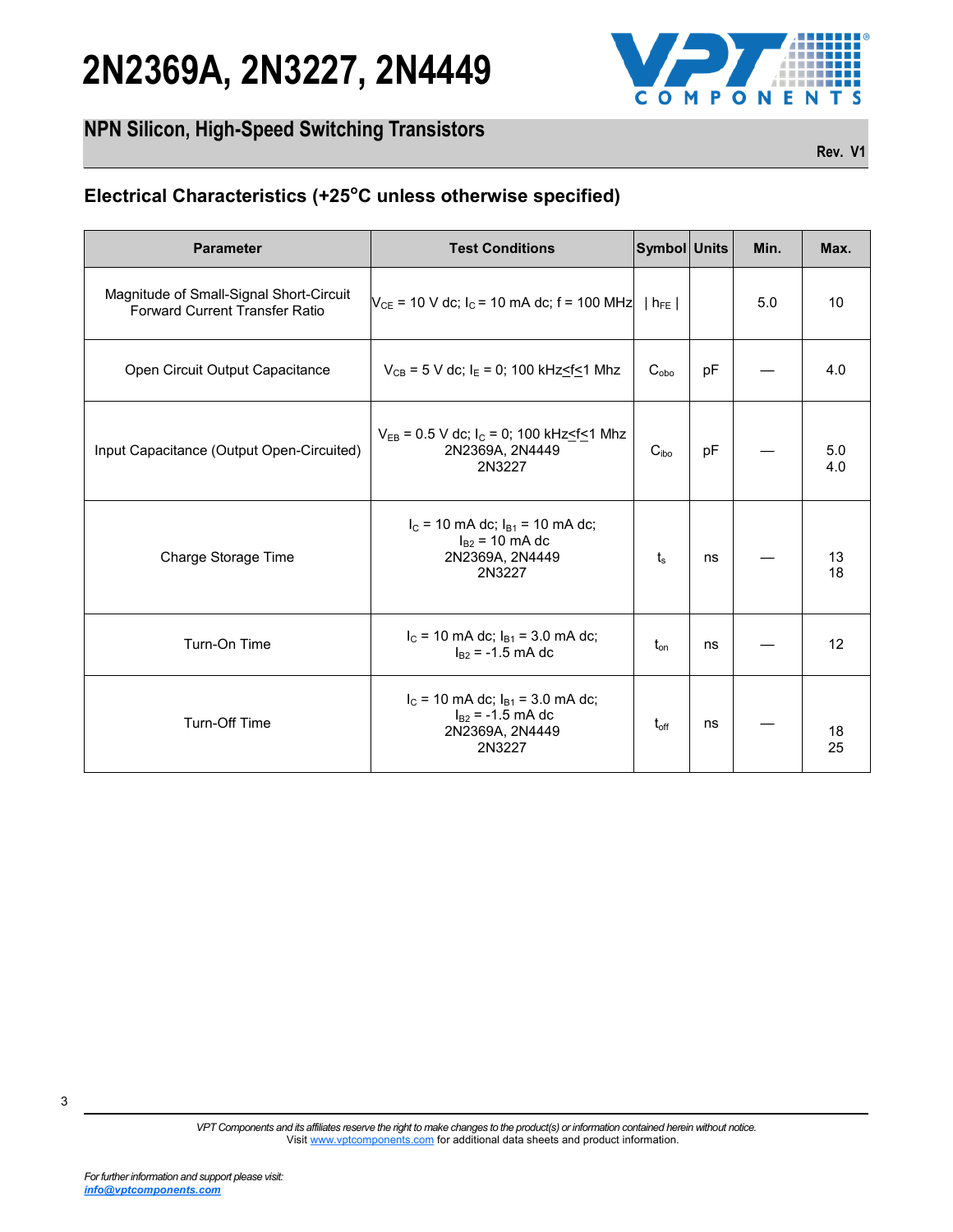

### **NPN Silicon, High-Speed Switching Transistors**

**Rev. V1**

### **Electrical Characteristics (+25<sup>o</sup>C unless otherwise specified)**

| $V_{CE}$ = 10 V dc; l <sub>c</sub> = 10 mA dc; f = 100 MHz     h <sub>FE</sub>  <br>$V_{CB} = 5$ V dc; $I_E = 0$ ; 100 kHz $\leq f \leq 1$ Mhz<br>$V_{EB}$ = 0.5 V dc; $I_C$ = 0; 100 kHz $\leq$ f $\leq$ 1 Mhz<br>Input Capacitance (Output Open-Circuited)<br>2N2369A, 2N4449<br>2N3227 | $C_{obo}$<br>C <sub>ibo</sub> | pF | 5.0 | 10<br>4.0  |
|-------------------------------------------------------------------------------------------------------------------------------------------------------------------------------------------------------------------------------------------------------------------------------------------|-------------------------------|----|-----|------------|
|                                                                                                                                                                                                                                                                                           |                               |    |     |            |
|                                                                                                                                                                                                                                                                                           |                               |    |     |            |
|                                                                                                                                                                                                                                                                                           |                               | pF |     | 5.0<br>4.0 |
| $I_C$ = 10 mA dc; $I_{B1}$ = 10 mA dc;<br>$I_{B2}$ = 10 mA dc<br>2N2369A, 2N4449<br>2N3227                                                                                                                                                                                                | $t_{s}$                       | ns |     | 13<br>18   |
| $I_c$ = 10 mA dc; $I_{B1}$ = 3.0 mA dc;<br>$I_{B2}$ = -1.5 mA dc                                                                                                                                                                                                                          | $t_{on}$                      | ns |     | 12         |
| $I_c$ = 10 mA dc; $I_{B1}$ = 3.0 mA dc;<br>$I_{B2}$ = -1.5 mA dc<br>2N2369A, 2N4449<br>2N3227                                                                                                                                                                                             | $t_{\rm off}$                 | ns |     | 18<br>25   |
|                                                                                                                                                                                                                                                                                           |                               |    |     |            |
|                                                                                                                                                                                                                                                                                           |                               |    |     |            |
|                                                                                                                                                                                                                                                                                           |                               |    |     |            |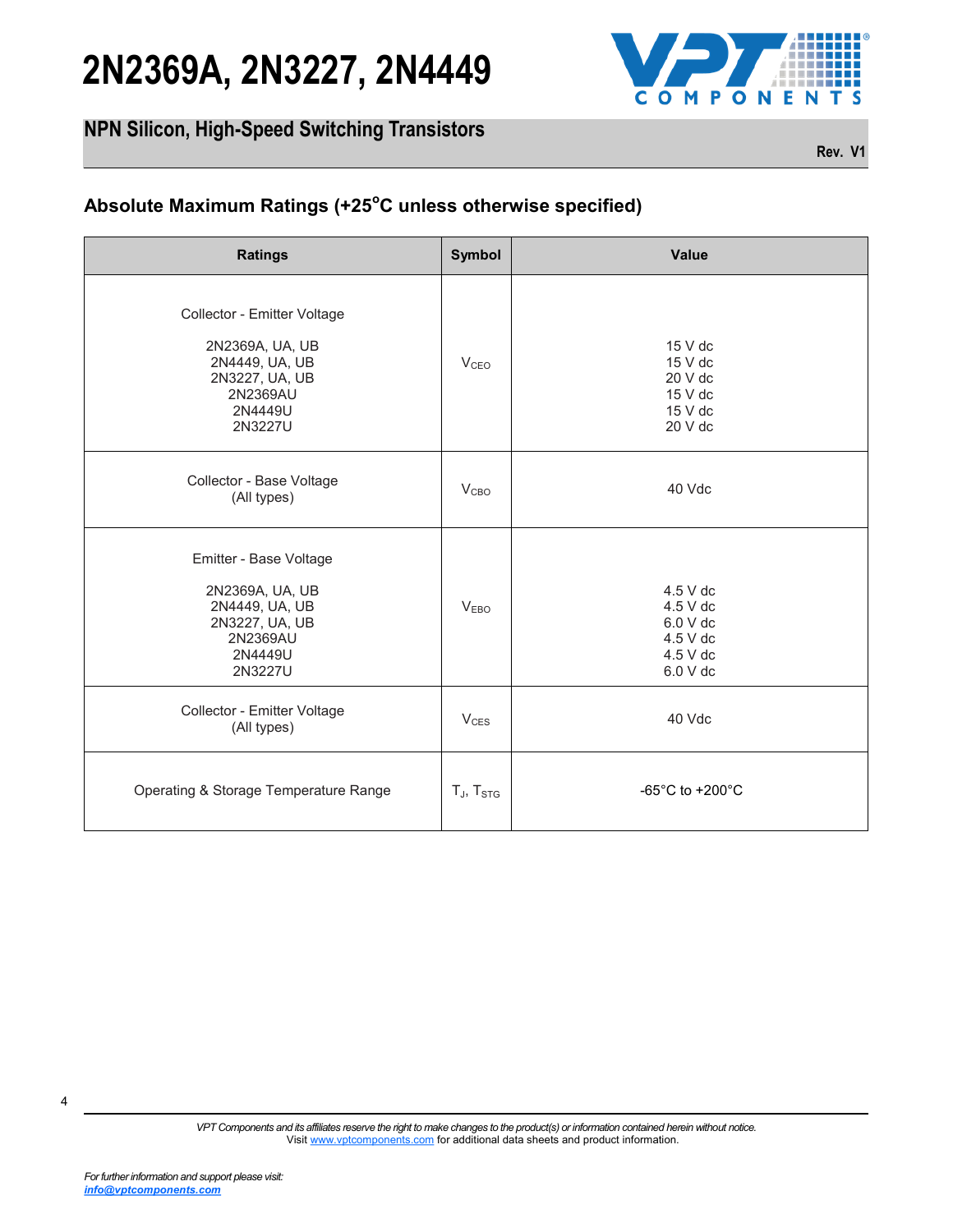

### **NPN Silicon, High-Speed Switching Transistors**

**Rev. V1**

| Collector - Emitter Voltage<br>2N2369A, UA, UB<br>2N4449, UA, UB<br>2N3227, UA, UB<br>2N2369AU<br>2N4449U<br>2N3227U | V <sub>CEO</sub>  | 15 V dc<br>15 V dc<br>20 V dc<br>15 V dc                             |
|----------------------------------------------------------------------------------------------------------------------|-------------------|----------------------------------------------------------------------|
|                                                                                                                      |                   | 15 V dc<br>20 V dc                                                   |
| Collector - Base Voltage<br>(All types)                                                                              | V <sub>CBO</sub>  | 40 Vdc                                                               |
| Emitter - Base Voltage<br>2N2369A, UA, UB<br>2N4449, UA, UB<br>2N3227, UA, UB<br>2N2369AU<br>2N4449U<br>2N3227U      | V <sub>EBO</sub>  | 4.5 V dc<br>4.5 V dc<br>6.0 V dc<br>4.5 V dc<br>4.5 V dc<br>6.0 V dc |
| Collector - Emitter Voltage<br>(All types)                                                                           | $V_{CES}$         | 40 Vdc                                                               |
| Operating & Storage Temperature Range                                                                                | $T_J$ , $T_{STG}$ | -65°C to +200°C                                                      |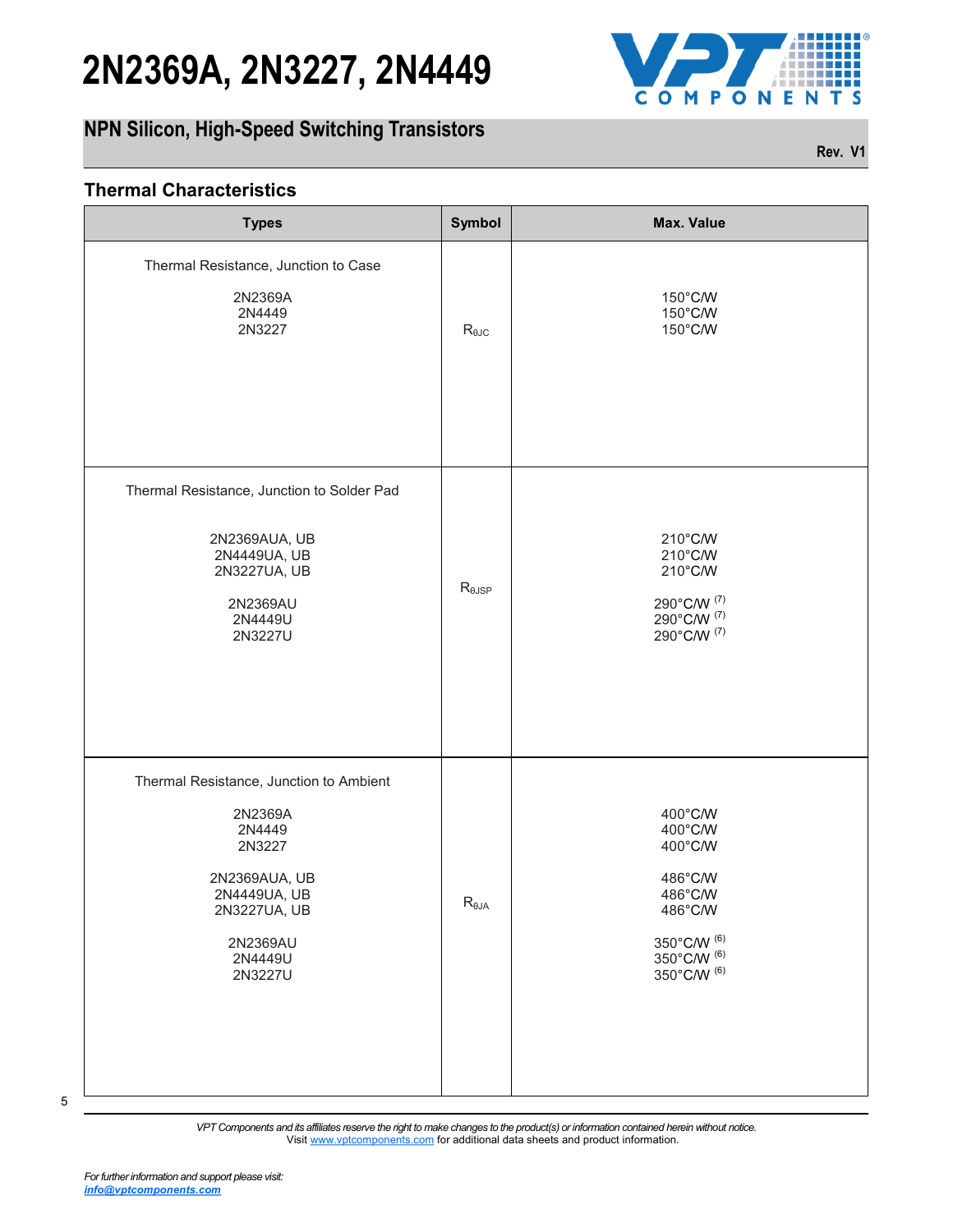

ANHH **COMPONENTS** 

**Rev. V1**

### **Thermal Characteristics**

| <b>Types</b>                                                                                                                                                   | <b>Symbol</b>    | <b>Max. Value</b>                                                                                           |
|----------------------------------------------------------------------------------------------------------------------------------------------------------------|------------------|-------------------------------------------------------------------------------------------------------------|
| Thermal Resistance, Junction to Case<br>2N2369A<br>2N4449<br>2N3227                                                                                            | $R_{\theta JC}$  | 150°C/W<br>150°C/W<br>150°C/W                                                                               |
| Thermal Resistance, Junction to Solder Pad<br>2N2369AUA, UB<br>2N4449UA, UB<br>2N3227UA, UB<br>2N2369AU<br>2N4449U<br>2N3227U                                  | $R_{\theta JSP}$ | 210°C/W<br>210°C/W<br>210°C/W<br>290°C/W (7)<br>290°C/W (7)<br>290°C/W (7)                                  |
| Thermal Resistance, Junction to Ambient<br>2N2369A<br>2N4449<br>2N3227<br>2N2369AUA, UB<br>2N4449UA, UB<br>2N3227UA, UB<br>2N2369AU<br>2N4449U<br>2N3227U<br>5 | $R_{\theta JA}$  | 400°C/W<br>400°C/W<br>400°C/W<br>486°C/W<br>486°C/W<br>486°C/W<br>350°C/W (6)<br>350°C/W (6)<br>350°C/W (6) |

<sup>5</sup>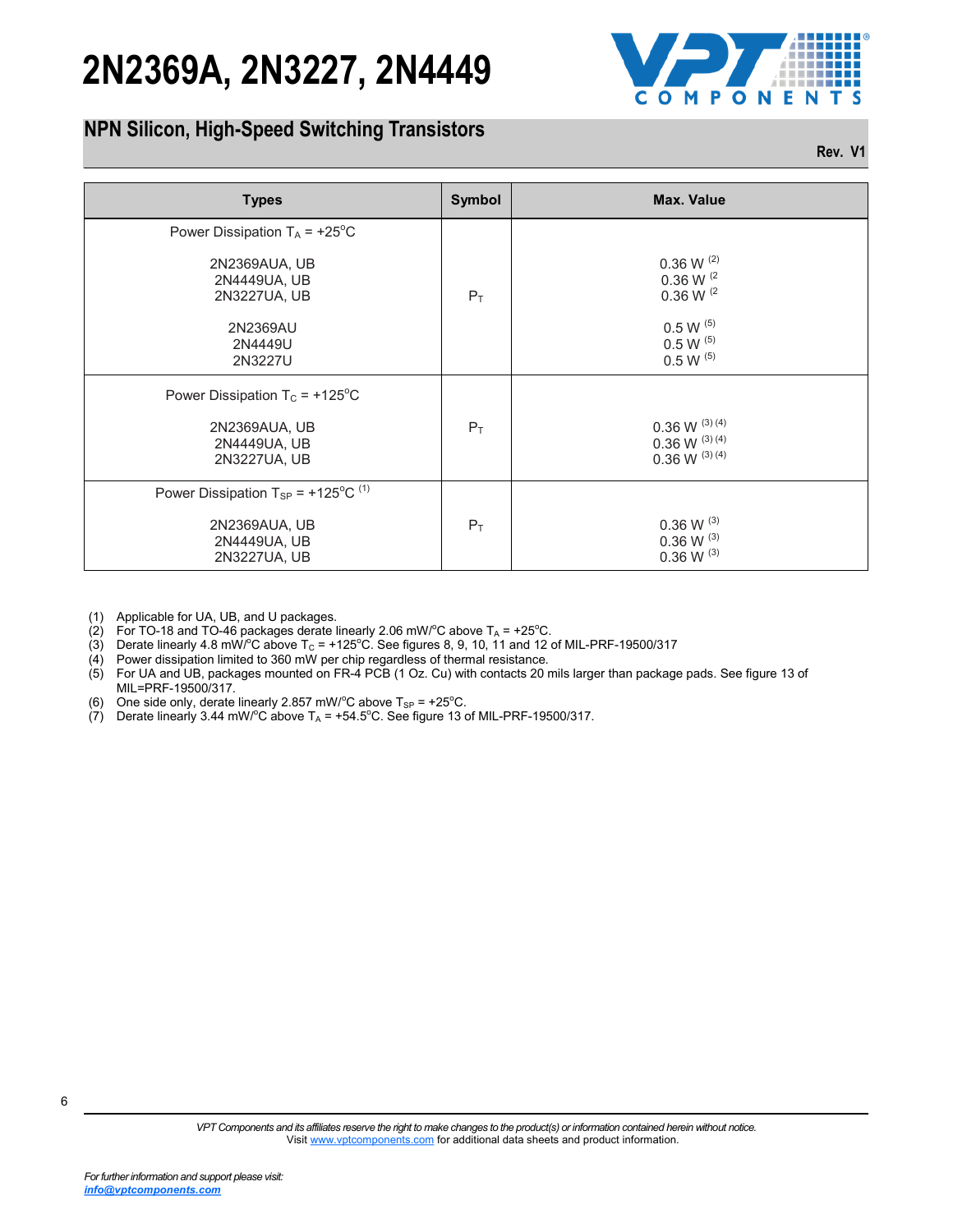

### **NPN Silicon, High-Speed Switching Transistors**

**Rev. V1**

| <b>Types</b>                                                                                                                                                                                                                                                                                                                                                                                                                                                                                                                                                                                                                              | <b>Symbol</b> | <b>Max. Value</b>                                                       |
|-------------------------------------------------------------------------------------------------------------------------------------------------------------------------------------------------------------------------------------------------------------------------------------------------------------------------------------------------------------------------------------------------------------------------------------------------------------------------------------------------------------------------------------------------------------------------------------------------------------------------------------------|---------------|-------------------------------------------------------------------------|
| Power Dissipation $T_A$ = +25°C                                                                                                                                                                                                                                                                                                                                                                                                                                                                                                                                                                                                           |               |                                                                         |
| 2N2369AUA, UB<br>2N4449UA, UB<br>2N3227UA, UB                                                                                                                                                                                                                                                                                                                                                                                                                                                                                                                                                                                             | $P_T$         | $0.36$ W $^{(2)}$<br>0.36 W $(2)$<br>0.36 W $(2)$                       |
| 2N2369AU<br>2N4449U<br>2N3227U                                                                                                                                                                                                                                                                                                                                                                                                                                                                                                                                                                                                            |               | $0.5 W^{(5)}$<br>$0.5 W^{(5)}$<br>$0.5 W^{(5)}$                         |
| Power Dissipation $T_c$ = +125°C                                                                                                                                                                                                                                                                                                                                                                                                                                                                                                                                                                                                          |               |                                                                         |
| 2N2369AUA, UB<br>2N4449UA, UB<br>2N3227UA, UB                                                                                                                                                                                                                                                                                                                                                                                                                                                                                                                                                                                             | $P_T$         | $0.36$ W $^{(3) (4)}$<br>$0.36$ W $^{(3) (4)}$<br>$0.36$ W $^{(3) (4)}$ |
| Power Dissipation $T_{SP}$ = +125°C <sup>(1)</sup>                                                                                                                                                                                                                                                                                                                                                                                                                                                                                                                                                                                        |               |                                                                         |
| 2N2369AUA, UB<br>2N4449UA, UB<br>2N3227UA, UB                                                                                                                                                                                                                                                                                                                                                                                                                                                                                                                                                                                             | $P_T$         | $0.36 W^{(3)}$<br>$0.36$ W $^{(3)}$<br>$0.36$ W $^{(3)}$                |
| MIL=PRF-19500/317.                                                                                                                                                                                                                                                                                                                                                                                                                                                                                                                                                                                                                        |               |                                                                         |
|                                                                                                                                                                                                                                                                                                                                                                                                                                                                                                                                                                                                                                           |               |                                                                         |
|                                                                                                                                                                                                                                                                                                                                                                                                                                                                                                                                                                                                                                           |               |                                                                         |
|                                                                                                                                                                                                                                                                                                                                                                                                                                                                                                                                                                                                                                           |               |                                                                         |
|                                                                                                                                                                                                                                                                                                                                                                                                                                                                                                                                                                                                                                           |               |                                                                         |
|                                                                                                                                                                                                                                                                                                                                                                                                                                                                                                                                                                                                                                           |               |                                                                         |
|                                                                                                                                                                                                                                                                                                                                                                                                                                                                                                                                                                                                                                           |               |                                                                         |
|                                                                                                                                                                                                                                                                                                                                                                                                                                                                                                                                                                                                                                           |               |                                                                         |
| (1) Applicable for UA, UB, and U packages.<br>(2) For TO-18 and TO-46 packages derate linearly 2.06 mW/°C above $T_A$ = +25°C.<br>(3) Derate linearly 4.8 mW/°C above $T_c = +125$ °C. See figures 8, 9, 10, 11 and 12 of MIL-PRF-19500/317<br>(4) Power dissipation limited to 360 mW per chip regardless of thermal resistance.<br>(5) For UA and UB, packages mounted on FR-4 PCB (1 Oz. Cu) with contacts 20 mils larger than package pads. See figure 13 of<br>(6) One side only, derate linearly 2.857 mW/°C above $T_{SP} = +25$ °C.<br>(7) Derate linearly 3.44 mW/°C above $T_A = +54.5$ °C. See figure 13 of MIL-PRF-19500/317. |               |                                                                         |
|                                                                                                                                                                                                                                                                                                                                                                                                                                                                                                                                                                                                                                           |               |                                                                         |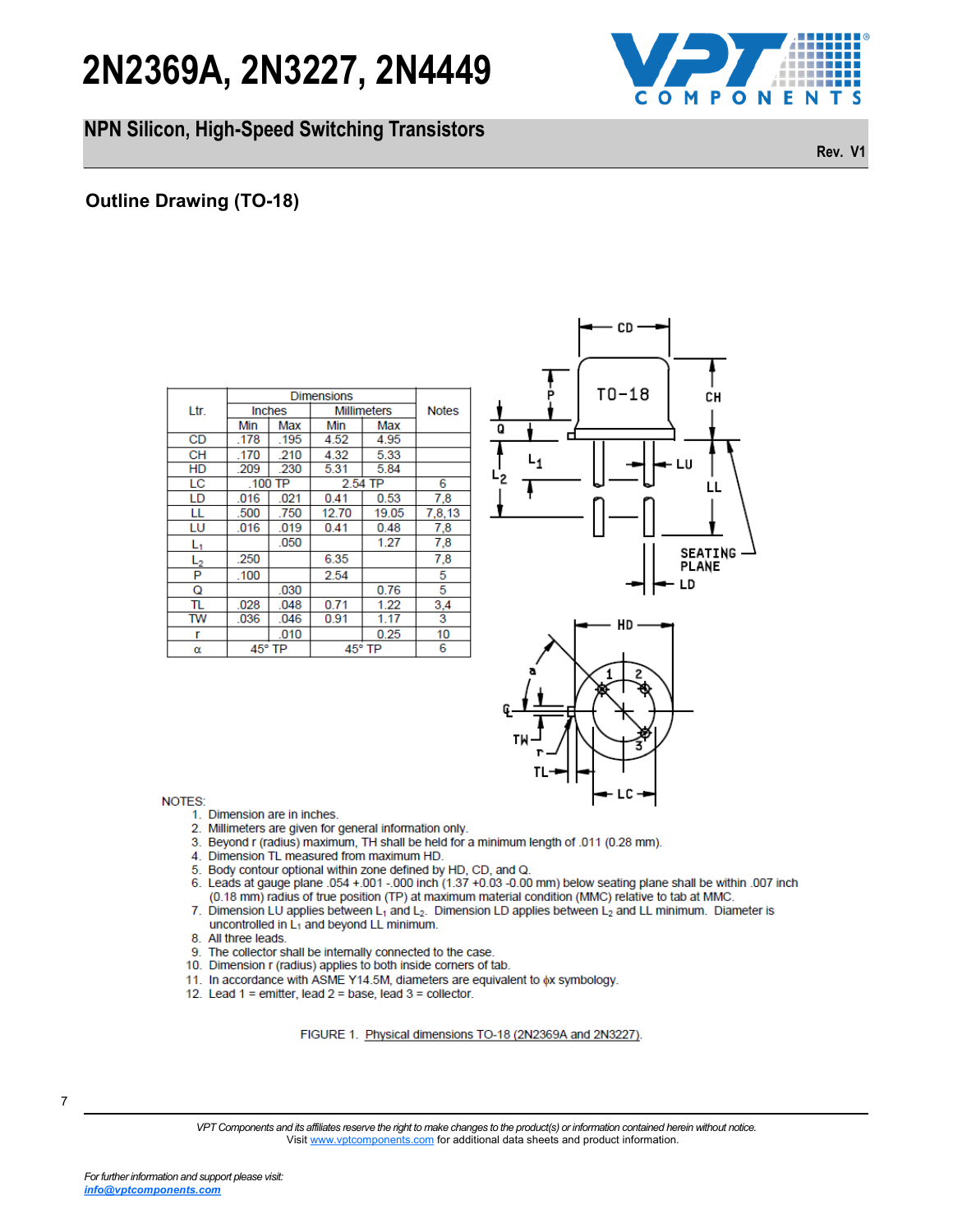### **NPN Silicon, High-Speed Switching Transistors**



**Rev. V1**

| <b>Outline Drawing (TO-18)</b> |                                                                                                                                                                                                                                      |               |                   |                              |              |
|--------------------------------|--------------------------------------------------------------------------------------------------------------------------------------------------------------------------------------------------------------------------------------|---------------|-------------------|------------------------------|--------------|
|                                |                                                                                                                                                                                                                                      |               |                   |                              |              |
|                                |                                                                                                                                                                                                                                      |               |                   |                              |              |
|                                |                                                                                                                                                                                                                                      |               |                   |                              |              |
|                                |                                                                                                                                                                                                                                      |               |                   |                              |              |
| Ltr.                           |                                                                                                                                                                                                                                      | <b>Inches</b> | <b>Dimensions</b> | <b>Millimeters</b>           | <b>Notes</b> |
|                                | Min                                                                                                                                                                                                                                  | Max           | Min               | Max                          |              |
| CD                             | .178                                                                                                                                                                                                                                 | .195          | 4.52              | 4.95                         |              |
| CН                             | .170                                                                                                                                                                                                                                 | 210           | 4.32              | 5.33                         |              |
| HD                             | .209                                                                                                                                                                                                                                 | .230          | 5.31              | 5.84                         |              |
| LC                             | 100                                                                                                                                                                                                                                  | ТP            |                   | 2.54 TP                      | 6            |
| LD                             | .016                                                                                                                                                                                                                                 | .021          | 0.41              | 0.53                         | 7,8          |
| LL                             | .500                                                                                                                                                                                                                                 | .750          | 12.70             | 19.05                        | 7,8,13       |
| LU                             | 016                                                                                                                                                                                                                                  | .019          | 0.41              | 0.48                         | 7,8          |
|                                |                                                                                                                                                                                                                                      | .050          |                   | 1.27                         | 7,8          |
| $L_1$                          | .250                                                                                                                                                                                                                                 |               | 6.35              |                              | 7,8          |
| $L_2$                          |                                                                                                                                                                                                                                      |               |                   |                              |              |
| P                              | 100                                                                                                                                                                                                                                  |               | 2.54              |                              | 5            |
| Q                              |                                                                                                                                                                                                                                      | .030          |                   | 0.76                         | 5            |
| TL<br>πw                       | .028<br>.036                                                                                                                                                                                                                         | 048<br>.046   | 0.71<br>0.91      | 1.22<br>1.17                 | 3,4<br>3     |
|                                |                                                                                                                                                                                                                                      |               |                   |                              |              |
| r<br>α                         |                                                                                                                                                                                                                                      | 010<br>45° TP |                   | 0.25<br>45° TP               | 10<br>6      |
|                                |                                                                                                                                                                                                                                      |               |                   |                              |              |
|                                |                                                                                                                                                                                                                                      |               |                   |                              |              |
| NOTES:                         | 1. Dimension are in inches.                                                                                                                                                                                                          |               |                   |                              |              |
|                                | 2. Millimeters are given for general information only.<br>3. Beyond r (radius) maximum, TH shall be held for<br>4. Dimension TL measured from maximum HD.                                                                            |               |                   |                              |              |
|                                | 5. Body contour optional within zone defined by HD,<br>6. Leads at gauge plane .054 +.001 -.000 inch (1.37<br>(0.18 mm) radius of true position (TP) at maximul                                                                      |               |                   |                              |              |
|                                | 7. Dimension LU applies between L <sub>1</sub> and L <sub>2</sub> . Dimen<br>uncontrolled in L <sub>1</sub> and beyond LL minimum.<br>8. All three leads.                                                                            |               |                   |                              |              |
|                                | 9. The collector shall be internally connected to the<br>10. Dimension r (radius) applies to both inside corner<br>11. In accordance with ASME Y14.5M, diameters are<br>12. Lead $1$ = emitter, lead $2$ = base, lead $3$ = collecto |               |                   |                              |              |
|                                |                                                                                                                                                                                                                                      |               |                   | FIGURE 1. Physical dimension |              |
|                                |                                                                                                                                                                                                                                      |               |                   |                              |              |





- 
- 
- 
- 
- 
- 
- 
- 
- 
- 
- 
- 

7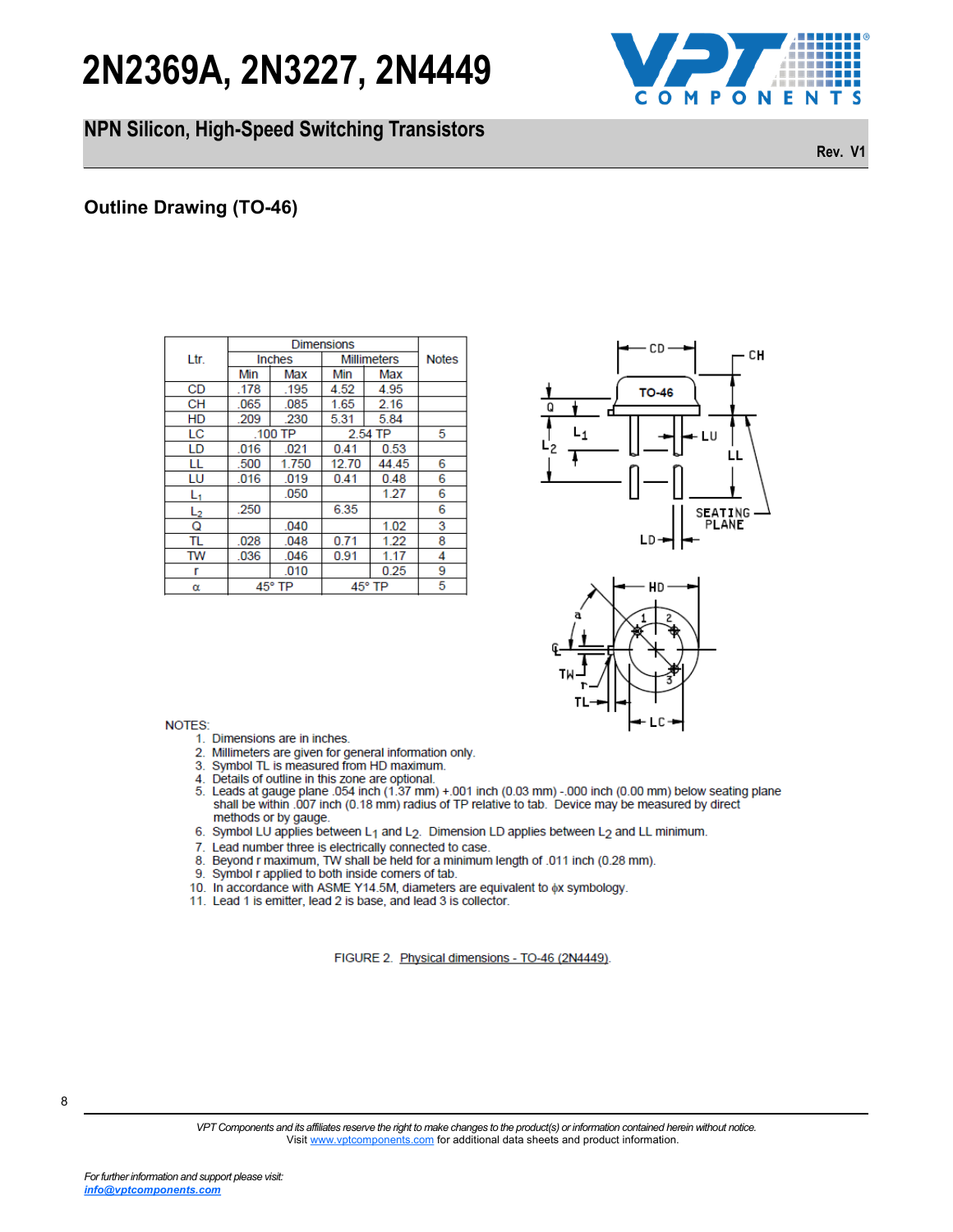### **NPN Silicon, High-Speed Switching Transistors**



**Rev. V1**

| Ltr.      |      | <b>Inches</b>                                        | <b>Dimensions</b> |                                                                                                                                                                                                                                                                                                                                                                                                                                                                                                                                                                                                                       | <b>Notes</b> |
|-----------|------|------------------------------------------------------|-------------------|-----------------------------------------------------------------------------------------------------------------------------------------------------------------------------------------------------------------------------------------------------------------------------------------------------------------------------------------------------------------------------------------------------------------------------------------------------------------------------------------------------------------------------------------------------------------------------------------------------------------------|--------------|
|           | Min  | Max                                                  | Min               | Millimeters<br>Max                                                                                                                                                                                                                                                                                                                                                                                                                                                                                                                                                                                                    |              |
| <b>CD</b> | .178 | .195                                                 | 4.52              | 4.95                                                                                                                                                                                                                                                                                                                                                                                                                                                                                                                                                                                                                  |              |
| CН        | 065  | 085                                                  | 1.65              | 2.16                                                                                                                                                                                                                                                                                                                                                                                                                                                                                                                                                                                                                  |              |
| HD        | 209  | .230                                                 | 5.31              | 5.84                                                                                                                                                                                                                                                                                                                                                                                                                                                                                                                                                                                                                  |              |
| LC        |      | .100 TP                                              |                   | 2.54 TP                                                                                                                                                                                                                                                                                                                                                                                                                                                                                                                                                                                                               | 5            |
| LD        | .016 | .021                                                 | 0.41              | 0.53                                                                                                                                                                                                                                                                                                                                                                                                                                                                                                                                                                                                                  |              |
| LL        | .500 | 1.750                                                | 12.70             | 44.45                                                                                                                                                                                                                                                                                                                                                                                                                                                                                                                                                                                                                 | 6            |
| LU        | 016  | 019                                                  | 0.41              | 0.48                                                                                                                                                                                                                                                                                                                                                                                                                                                                                                                                                                                                                  | 6            |
| L,        |      | .050                                                 |                   | 1.27                                                                                                                                                                                                                                                                                                                                                                                                                                                                                                                                                                                                                  | 6            |
|           | .250 |                                                      | 6.35              |                                                                                                                                                                                                                                                                                                                                                                                                                                                                                                                                                                                                                       | 6            |
| $L_2$     |      |                                                      |                   |                                                                                                                                                                                                                                                                                                                                                                                                                                                                                                                                                                                                                       |              |
| Q         |      | .040                                                 |                   | 1.02                                                                                                                                                                                                                                                                                                                                                                                                                                                                                                                                                                                                                  | 3            |
| TL        | .028 | 048                                                  | 0.71              | 1.22                                                                                                                                                                                                                                                                                                                                                                                                                                                                                                                                                                                                                  | 8            |
| TW        | 036  | 046                                                  | 0.91              | 1.17                                                                                                                                                                                                                                                                                                                                                                                                                                                                                                                                                                                                                  | 4            |
| r         |      | 010                                                  |                   | 0.25                                                                                                                                                                                                                                                                                                                                                                                                                                                                                                                                                                                                                  | 9            |
| α         |      | 45° TP                                               |                   | 45° TP                                                                                                                                                                                                                                                                                                                                                                                                                                                                                                                                                                                                                | 5            |
|           |      |                                                      |                   |                                                                                                                                                                                                                                                                                                                                                                                                                                                                                                                                                                                                                       |              |
|           |      |                                                      |                   |                                                                                                                                                                                                                                                                                                                                                                                                                                                                                                                                                                                                                       |              |
| NOTES:    |      | 1. Dimensions are in inches.<br>methods or by gauge. |                   | 2. Millimeters are given for general information onl<br>3. Symbol TL is measured from HD maximum.<br>4. Details of outline in this zone are optional.<br>5. Leads at gauge plane .054 inch (1.37 mm) +.00<br>shall be within .007 inch (0.18 mm) radius of TF<br>6. Symbol LU applies between L <sub>1</sub> and L <sub>2</sub> . Dimens<br>7. Lead number three is electrically connected to o<br>8. Beyond r maximum, TW shall be held for a mini<br>9. Symbol r applied to both inside comers of tab.<br>10. In accordance with ASME Y14.5M, diameters a<br>11. Lead 1 is emitter, lead 2 is base, and lead 3 is d |              |





- 
- 
- 
- 
- 
- 
- 
- 
- 
- 
- 

FIGURE 2. Physical dimensions - TO-46 (2N4449).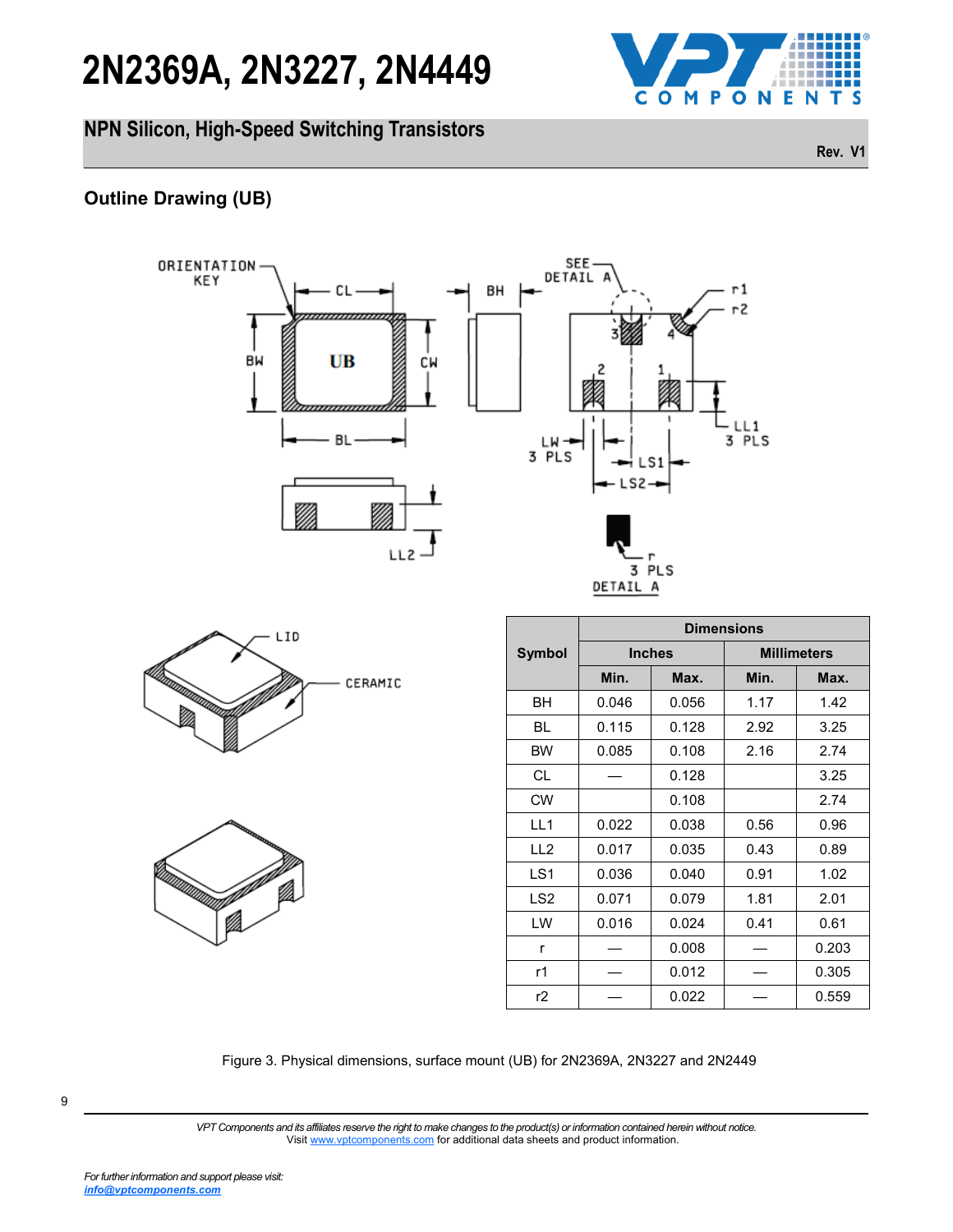



**Rev. V1**







|                 | <b>Dimensions</b> |               |      |                    |  |  |  |
|-----------------|-------------------|---------------|------|--------------------|--|--|--|
| <b>Symbol</b>   |                   | <b>Inches</b> |      | <b>Millimeters</b> |  |  |  |
|                 | Min.              | Max.          | Min. | Max.               |  |  |  |
| BН              | 0.046             | 0.056         | 1.17 | 1.42               |  |  |  |
| BL              | 0.115             | 0.128         | 2.92 | 3.25               |  |  |  |
| <b>BW</b>       | 0.085             | 0.108         | 2.16 | 2.74               |  |  |  |
| CL              |                   | 0.128         |      | 3.25               |  |  |  |
| <b>CW</b>       |                   | 0.108         |      | 2.74               |  |  |  |
| LL <sub>1</sub> | 0.022             | 0.038         | 0.56 | 0.96               |  |  |  |
| LL <sub>2</sub> | 0.017             | 0.035         | 0.43 | 0.89               |  |  |  |
| LS <sub>1</sub> | 0.036             | 0.040         | 0.91 | 1.02               |  |  |  |
| LS <sub>2</sub> | 0.071             | 0.079         | 1.81 | 2.01               |  |  |  |
| LW              | 0.016             | 0.024         | 0.41 | 0.61               |  |  |  |
| r               |                   | 0.008         |      | 0.203              |  |  |  |
| r1              |                   | 0.012         |      | 0.305              |  |  |  |
| r2              |                   | 0.022         |      | 0.559              |  |  |  |

### Figure 3. Physical dimensions, surface mount (UB) for 2N2369A, 2N3227 and 2N2449

9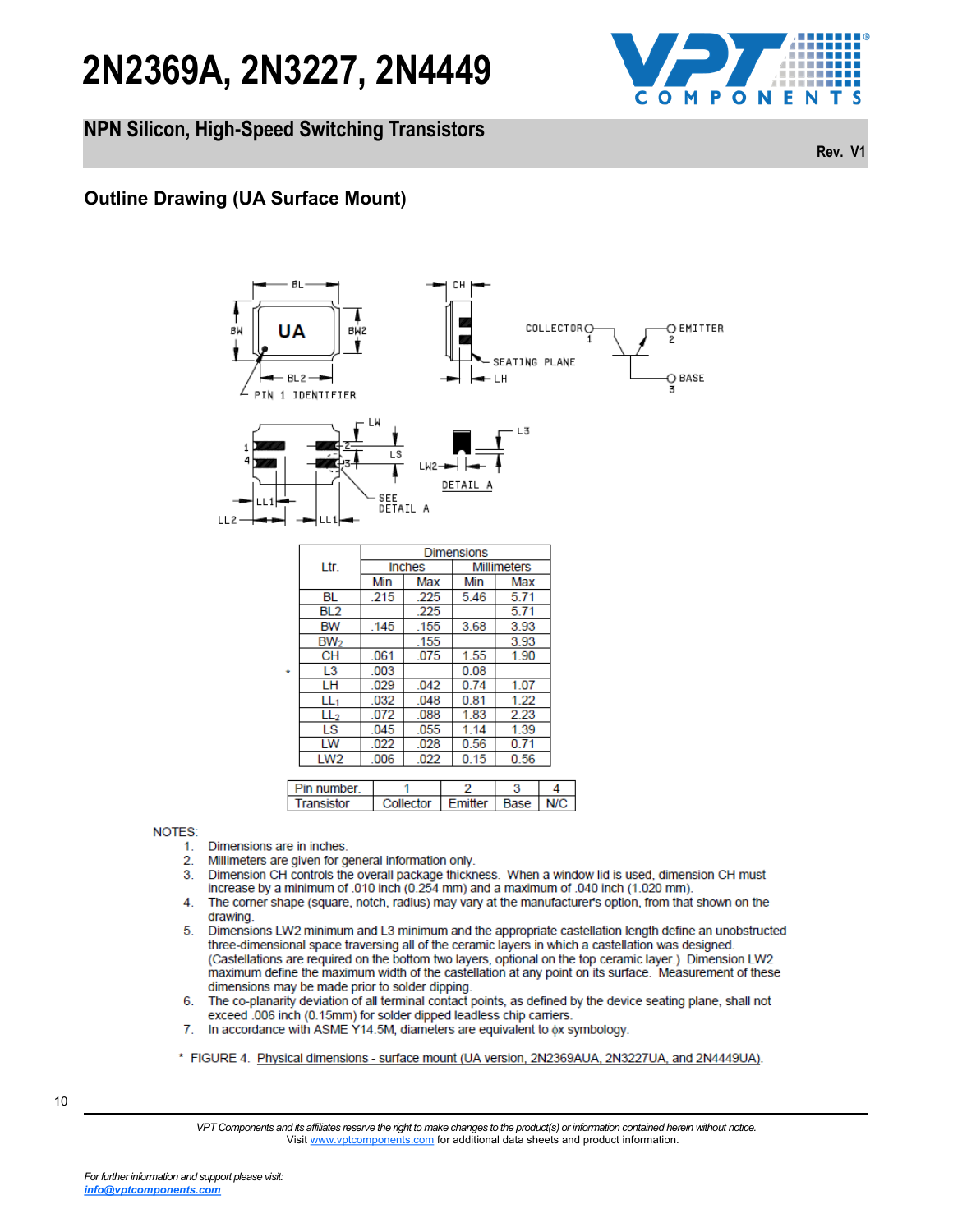

### **NPN Silicon, High-Speed Switching Transistors**

**Rev. V1**



- 
- 
- 

 $0.81$ 

1.83  $1.14$ 

 $0.56$ 

 $0.15$ 

 $\overline{c}$ 

Emitter

 $122$ 2.23

1.39

 $0.71$ 

 $0.56$ 3

Base

 $\overline{4}$ 

 $N/C$ 

.048

088

.055

 $.028$  $.022$ 

- 
- 
- 
- 
- 

10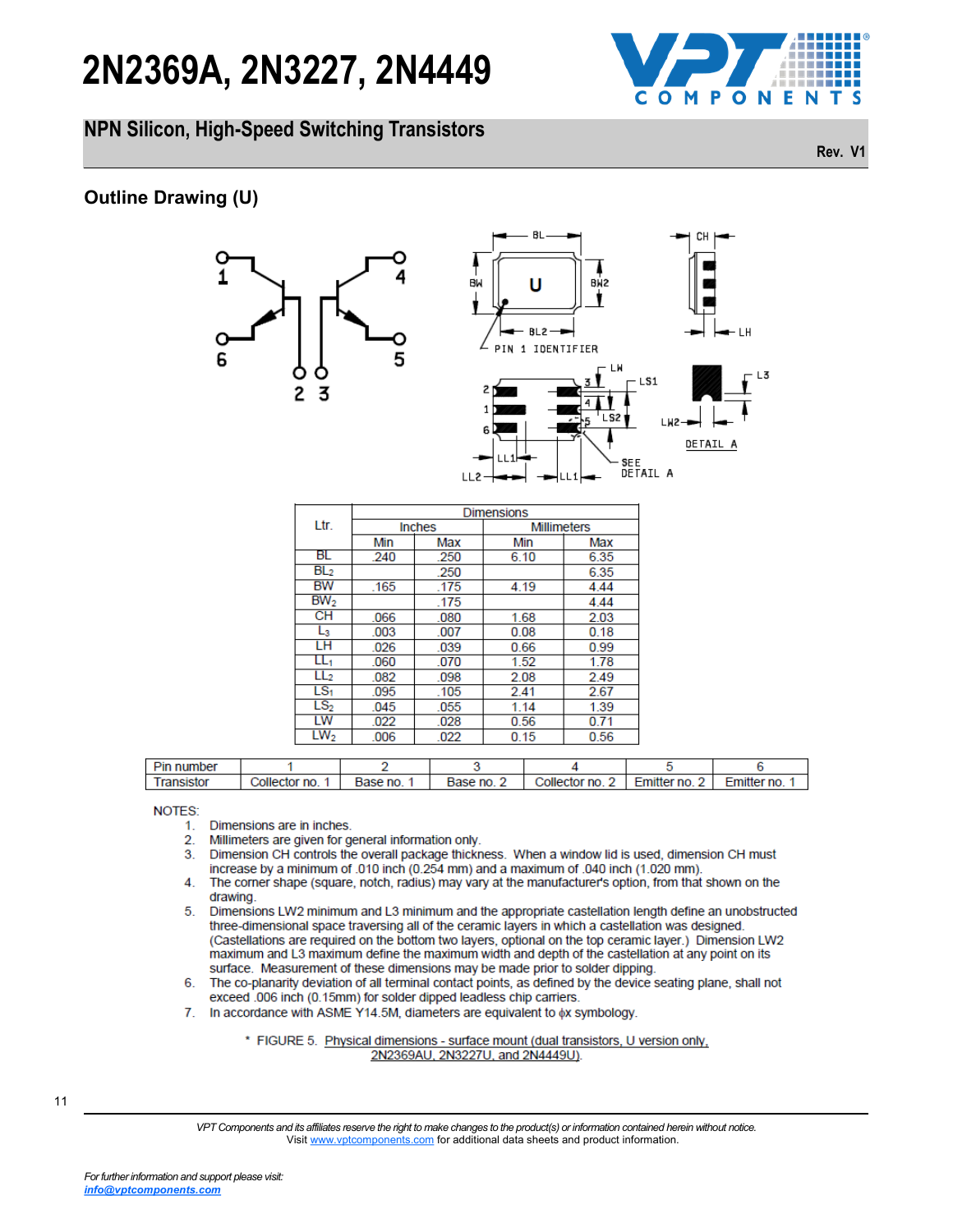### **NPN Silicon, High-Speed Switching Transistors**





|                 | <b>Dimensions</b> |               |                    |      |  |  |  |
|-----------------|-------------------|---------------|--------------------|------|--|--|--|
| Ltr.            |                   | <b>Inches</b> | <b>Millimeters</b> |      |  |  |  |
|                 | Min               | Max           | Min                | Max  |  |  |  |
| BL              | .240              | .250          | 6.10               | 6.35 |  |  |  |
| BL <sub>2</sub> |                   | .250          |                    | 6.35 |  |  |  |
| <b>BW</b>       | .165              | .175          | 4.19               | 4.44 |  |  |  |
| BW <sub>2</sub> |                   | .175          |                    | 4.44 |  |  |  |
| <b>CH</b>       | .066              | .080          | 1.68               | 2.03 |  |  |  |
| L <sub>3</sub>  | .003              | .007          | 0.08               | 0.18 |  |  |  |
| LH              | .026              | .039          | 0.66               | 0.99 |  |  |  |
| LL,             | .060              | .070          | 1.52               | 1.78 |  |  |  |
| LL <sub>2</sub> | .082              | .098          | 2.08               | 2.49 |  |  |  |
| LS <sub>1</sub> | .095              | .105          | 2.41               | 2.67 |  |  |  |
| LS <sub>2</sub> | .045              | .055          | 1.14               | 1.39 |  |  |  |
| LW              | .022              | .028          | 0.56               | 0.71 |  |  |  |
| LW <sub>2</sub> | .006              | .022          | 0.15               | 0.56 |  |  |  |

| <b>Pin number</b> |                                        |         |         |               |            |           |
|-------------------|----------------------------------------|---------|---------|---------------|------------|-----------|
|                   | $\bigcirc$ ollector $\bigcirc$<br>' no | Base no | Base no | collector no. | Emitter no | itter no. |

- 
- 
- 
- 
- 
- 
- 

2N2369AU, 2N3227U, and 2N4449U).

11

*VPT Components and its affiliates reserve the right to make changes to the product(s) or information contained herein without notice.*  Visit [www.vptcomponents.com](http://www.vptcomponents.com) for additional data sheets and product information.

**HININ** ONENTS

**Rev. V1**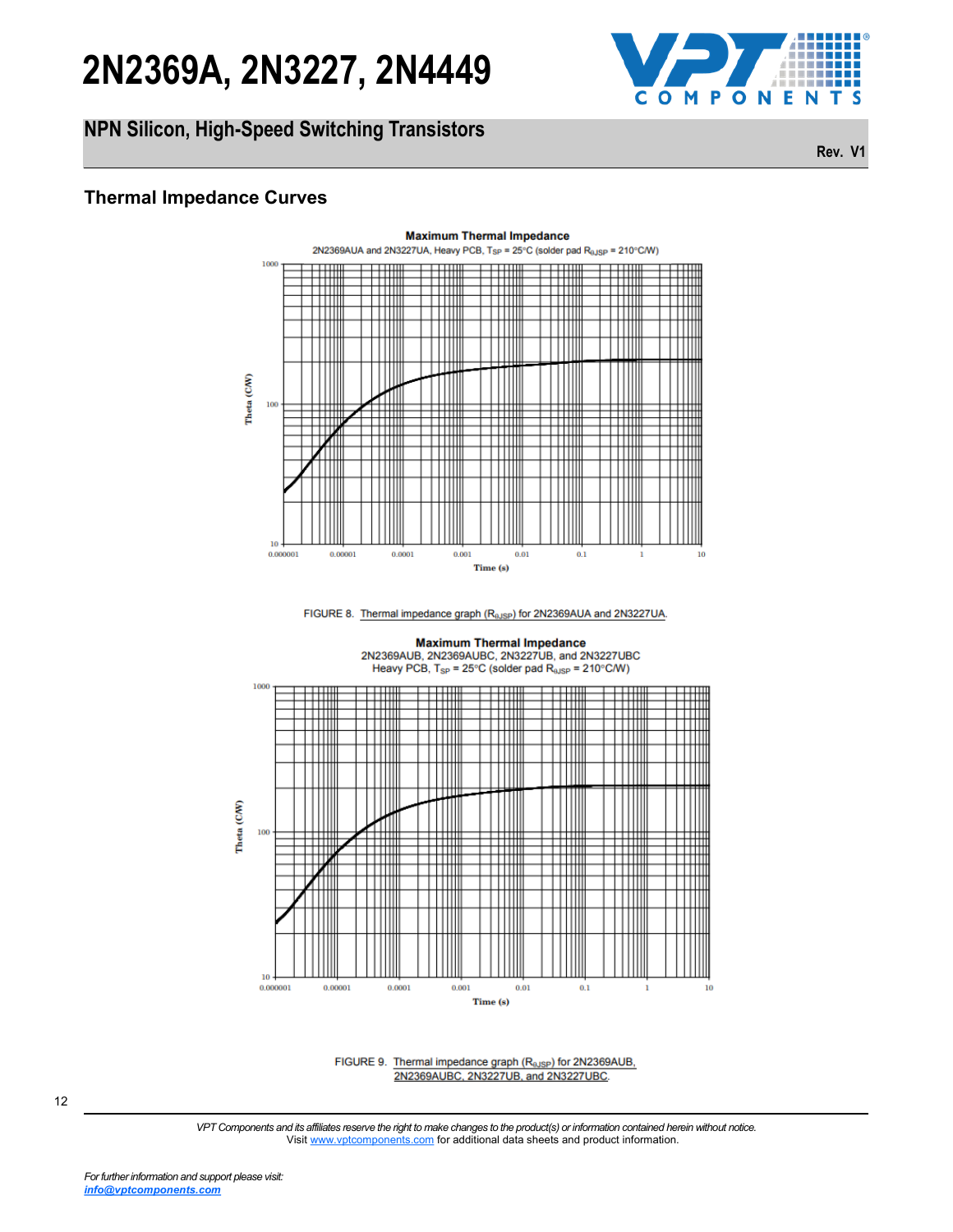



**Rev. V1**







FIGURE 9. Thermal impedance graph (R<sub>0JSP</sub>) for 2N2369AUB, 2N2369AUBC, 2N3227UB, and 2N3227UBC.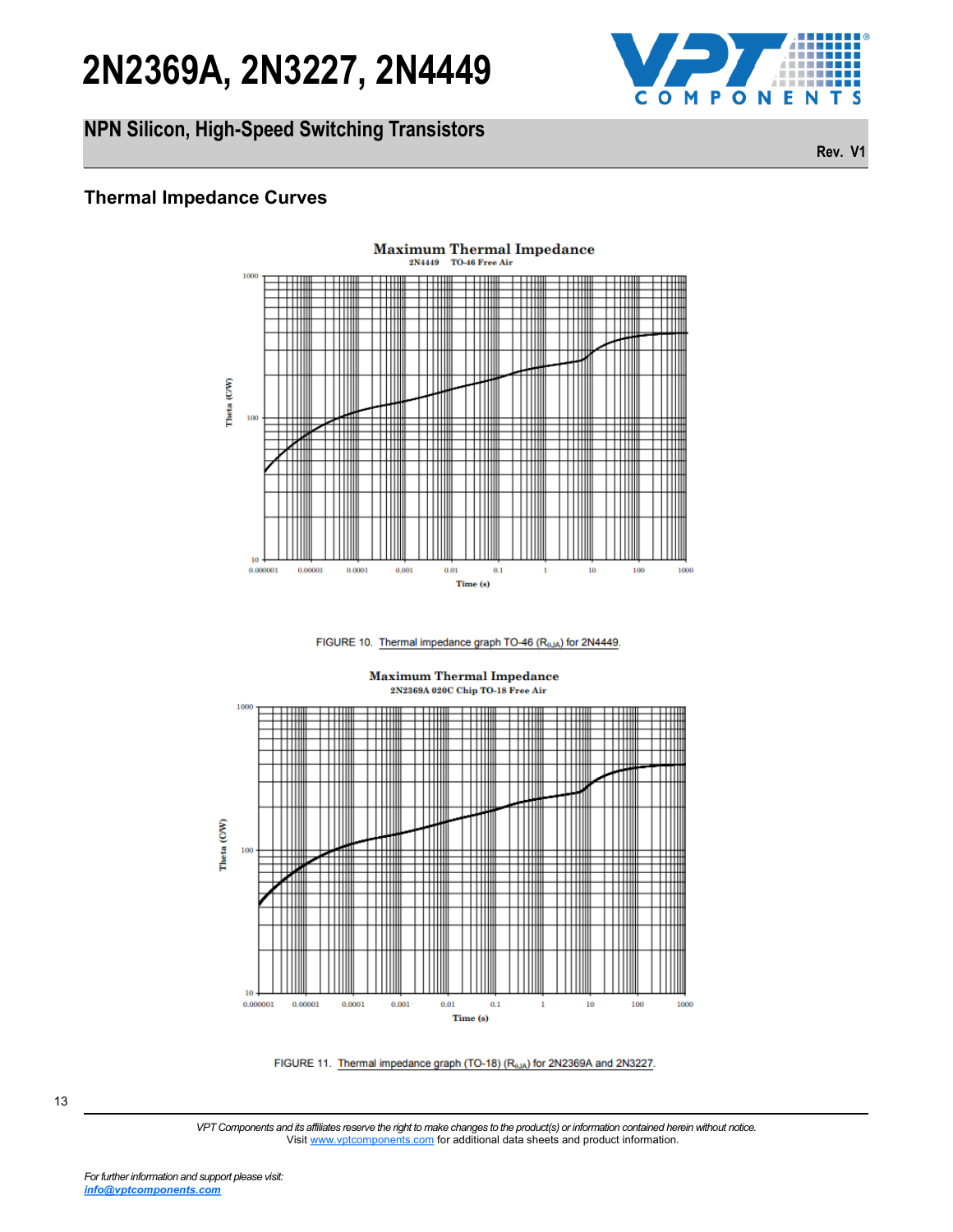



**Rev. V1**





**Maximum Thermal Impedance** 

*VPT Components and its affiliates reserve the right to make changes to the product(s) or information contained herein without notice.*  Visit [www.vptcomponents.com](http://www.vptcomponents.com) for additional data sheets and product information.

*For further information and support please visit: [info@vptcomponents.com](mailto:info@vptcomponents.com)*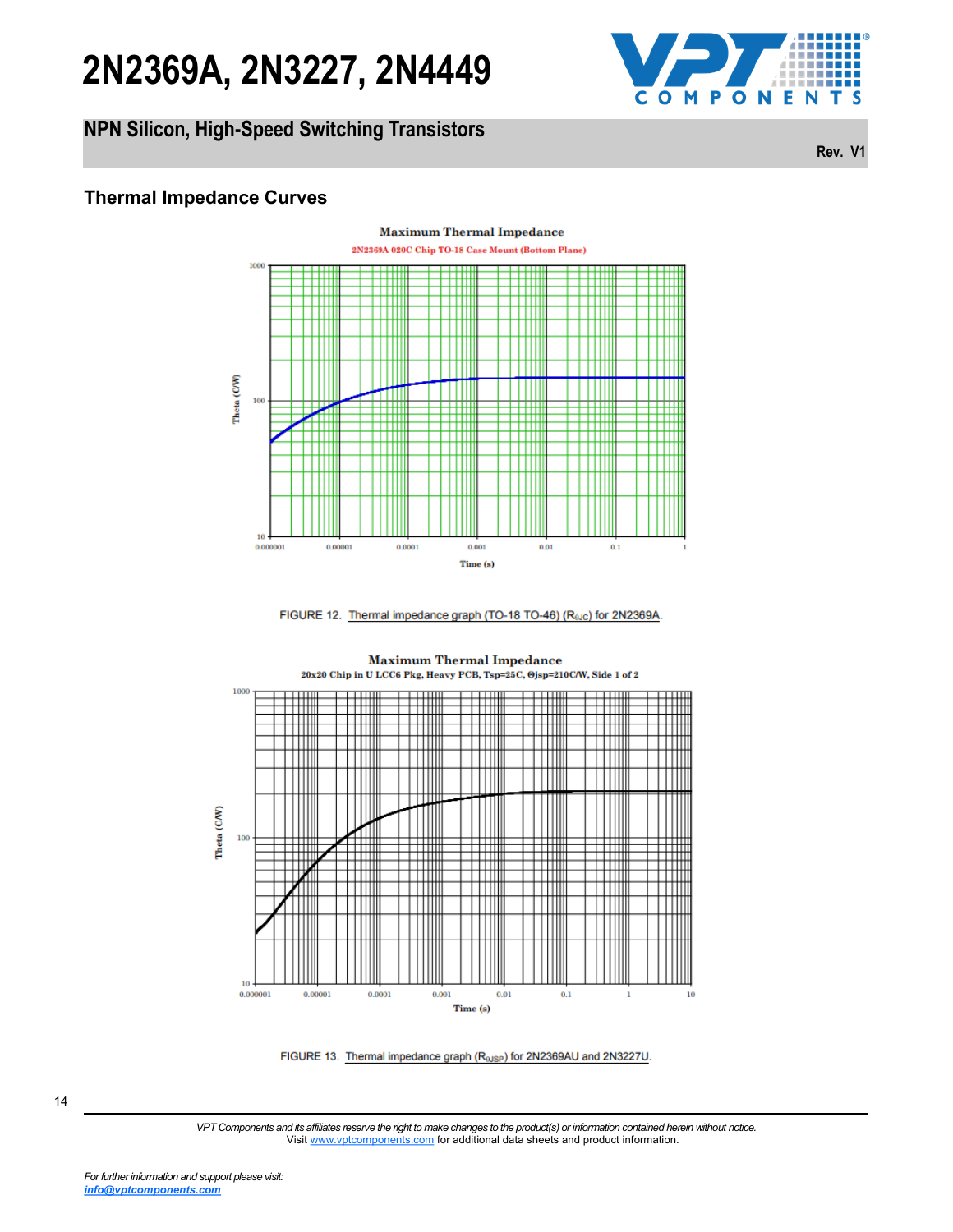



**Rev. V1**







### **Maximum Thermal Impedance**

14